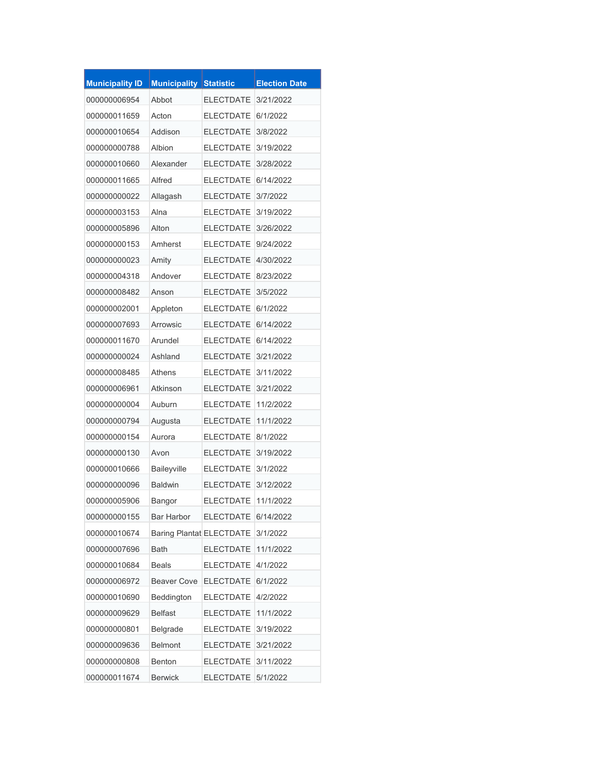| <b>Municipality ID</b> | <b>Municipality Statistic</b> |                          | <b>Election Date</b> |
|------------------------|-------------------------------|--------------------------|----------------------|
| 000000006954           | Abbot                         | <b>ELECTDATE</b>         | 3/21/2022            |
| 000000011659           | Acton                         | <b>ELECTDATE</b>         | 6/1/2022             |
| 000000010654           | Addison                       | <b>ELECTDATE</b>         | 3/8/2022             |
| 000000000788           | Albion                        | <b>ELECTDATE</b>         | 3/19/2022            |
| 000000010660           | Alexander                     | <b>ELECTDATE</b>         | 3/28/2022            |
| 000000011665           | Alfred                        | <b>ELECTDATE</b>         | 6/14/2022            |
| 00000000022            | Allagash                      | <b>ELECTDATE</b>         | 3/7/2022             |
| 000000003153           | Alna                          | <b>ELECTDATE</b>         | 3/19/2022            |
| 000000005896           | Alton                         | <b>ELECTDATE</b>         | 3/26/2022            |
| 000000000153           | Amherst                       | <b>ELECTDATE</b>         | 9/24/2022            |
| 00000000023            | Amity                         | <b>ELECTDATE</b>         | 4/30/2022            |
| 000000004318           | Andover                       | <b>ELECTDATE</b>         | 8/23/2022            |
| 000000008482           | Anson                         | <b>ELECTDATE</b>         | 3/5/2022             |
| 000000002001           | Appleton                      | <b>ELECTDATE</b>         | 6/1/2022             |
| 000000007693           | Arrowsic                      | <b>ELECTDATE</b>         | 6/14/2022            |
| 000000011670           | Arundel                       | <b>ELECTDATE</b>         | 6/14/2022            |
| 00000000024            | Ashland                       | <b>ELECTDATE</b>         | 3/21/2022            |
| 000000008485           | Athens                        | <b>ELECTDATE</b>         | 3/11/2022            |
| 000000006961           | Atkinson                      | <b>ELECTDATE</b>         | 3/21/2022            |
| 00000000004            | Auburn                        | <b>ELECTDATE</b>         | 11/2/2022            |
| 000000000794           | Augusta                       | <b>ELECTDATE</b>         | 11/1/2022            |
| 000000000154           | Aurora                        | <b>ELECTDATE</b>         | 8/1/2022             |
| 000000000130           | Avon                          | <b>ELECTDATE</b>         | 3/19/2022            |
| 000000010666           | Baileyville                   | ELECTDATE 3/1/2022       |                      |
| 000000000096           | Baldwin                       | ELECTDATE 3/12/2022      |                      |
| 000000005906           | Bangor                        | ELECTDATE 11/1/2022      |                      |
| 000000000155           | Bar Harbor                    | ELECTDATE 6/14/2022      |                      |
| 000000010674           |                               | Baring Plantat ELECTDATE | 3/1/2022             |
| 000000007696           | Bath                          | <b>ELECTDATE</b>         | 11/1/2022            |
| 000000010684           | <b>Beals</b>                  | <b>ELECTDATE</b>         | 4/1/2022             |
| 000000006972           | Beaver Cove                   | <b>ELECTDATE</b>         | 6/1/2022             |
| 000000010690           | Beddington                    | <b>ELECTDATE</b>         | 4/2/2022             |
| 000000009629           | <b>Belfast</b>                | <b>ELECTDATE</b>         | 11/1/2022            |
| 000000000801           | Belgrade                      | <b>ELECTDATE</b>         | 3/19/2022            |
| 000000009636           | Belmont                       | <b>ELECTDATE</b>         | 3/21/2022            |
| 000000000808           | Benton                        | <b>ELECTDATE</b>         | 3/11/2022            |
| 000000011674           | <b>Berwick</b>                | ELECTDATE 5/1/2022       |                      |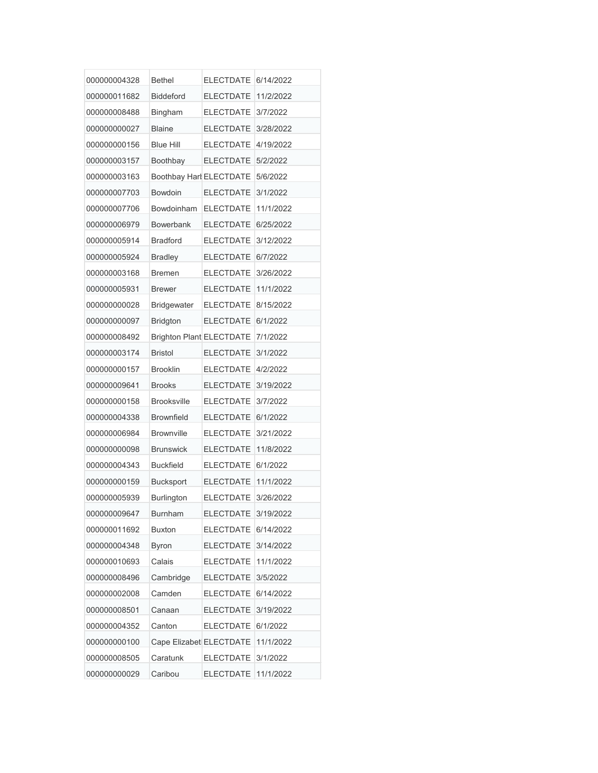| 000000004328 | <b>Bethel</b>                   | <b>ELECTDATE</b>   | 6/14/2022 |
|--------------|---------------------------------|--------------------|-----------|
| 000000011682 | <b>Biddeford</b>                | <b>ELECTDATE</b>   | 11/2/2022 |
| 000000008488 | Bingham                         | <b>ELECTDATE</b>   | 3/7/2022  |
| 000000000027 | <b>Blaine</b>                   | <b>ELECTDATE</b>   | 3/28/2022 |
| 000000000156 | <b>Blue Hill</b>                | <b>ELECTDATE</b>   | 4/19/2022 |
| 000000003157 | Boothbay                        | <b>ELECTDATE</b>   | 5/2/2022  |
| 000000003163 | Boothbay Harl ELECTDATE         |                    | 5/6/2022  |
| 000000007703 | Bowdoin                         | <b>ELECTDATE</b>   | 3/1/2022  |
| 000000007706 | Bowdoinham                      | <b>ELECTDATE</b>   | 11/1/2022 |
| 000000006979 | <b>Bowerbank</b>                | <b>ELECTDATE</b>   | 6/25/2022 |
| 000000005914 | <b>Bradford</b>                 | <b>ELECTDATE</b>   | 3/12/2022 |
| 000000005924 | <b>Bradley</b>                  | <b>ELECTDATE</b>   | 6/7/2022  |
| 000000003168 | <b>Bremen</b>                   | <b>ELECTDATE</b>   | 3/26/2022 |
| 000000005931 | <b>Brewer</b>                   | <b>ELECTDATE</b>   | 11/1/2022 |
| 000000000028 | <b>Bridgewater</b>              | <b>ELECTDATE</b>   | 8/15/2022 |
| 000000000097 | <b>Bridgton</b>                 | <b>ELECTDATE</b>   | 6/1/2022  |
| 000000008492 | <b>Brighton Plant ELECTDATE</b> |                    | 7/1/2022  |
| 000000003174 | <b>Bristol</b>                  | <b>ELECTDATE</b>   | 3/1/2022  |
| 000000000157 | <b>Brooklin</b>                 | <b>ELECTDATE</b>   | 4/2/2022  |
| 000000009641 | <b>Brooks</b>                   | <b>ELECTDATE</b>   | 3/19/2022 |
| 000000000158 | <b>Brooksville</b>              | <b>ELECTDATE</b>   | 3/7/2022  |
| 000000004338 | <b>Brownfield</b>               | <b>ELECTDATE</b>   | 6/1/2022  |
| 000000006984 | <b>Brownville</b>               | <b>ELECTDATE</b>   | 3/21/2022 |
| 000000000098 | <b>Brunswick</b>                | <b>ELECTDATE</b>   | 11/8/2022 |
| 000000004343 | <b>Buckfield</b>                | ELECTDATE 6/1/2022 |           |
| 000000000159 | <b>Bucksport</b>                | <b>ELECTDATE</b>   | 11/1/2022 |
| 000000005939 | Burlington                      | <b>ELECTDATE</b>   | 3/26/2022 |
| 000000009647 | <b>Burnham</b>                  | <b>ELECTDATE</b>   | 3/19/2022 |
| 000000011692 | <b>Buxton</b>                   | <b>ELECTDATE</b>   | 6/14/2022 |
| 000000004348 | <b>Byron</b>                    | <b>ELECTDATE</b>   | 3/14/2022 |
| 000000010693 | Calais                          | <b>ELECTDATE</b>   | 11/1/2022 |
| 000000008496 | Cambridge                       | <b>ELECTDATE</b>   | 3/5/2022  |
| 000000002008 | Camden                          | <b>ELECTDATE</b>   | 6/14/2022 |
| 000000008501 | Canaan                          | <b>ELECTDATE</b>   | 3/19/2022 |
| 000000004352 | Canton                          | <b>ELECTDATE</b>   | 6/1/2022  |
| 000000000100 | Cape Elizabet ELECTDATE         |                    | 11/1/2022 |
| 000000008505 | Caratunk                        | <b>ELECTDATE</b>   | 3/1/2022  |
| 00000000029  | Caribou                         | <b>ELECTDATE</b>   | 11/1/2022 |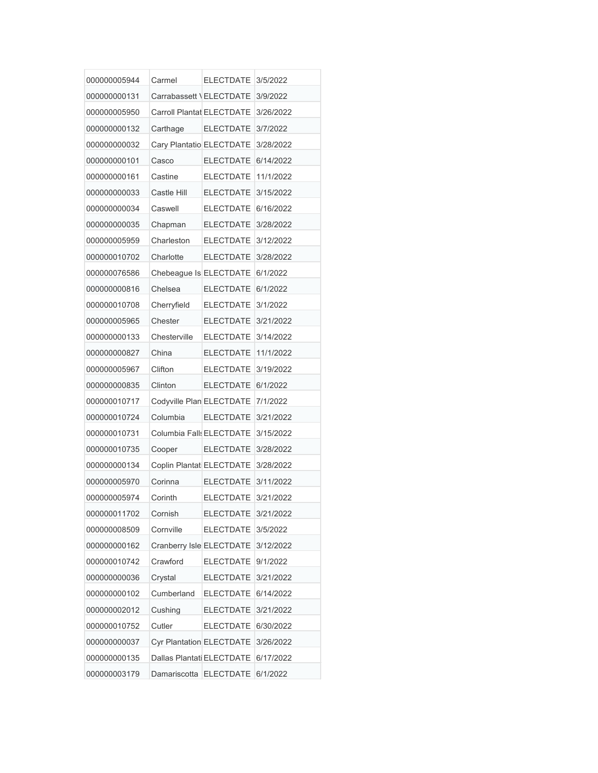| 000000005944 | Carmel                    | <b>ELECTDATE</b>                   | 3/5/2022  |
|--------------|---------------------------|------------------------------------|-----------|
| 000000000131 | Carrabassett \ELECTDATE   |                                    | 3/9/2022  |
| 000000005950 | Carroll Plantat ELECTDATE |                                    | 3/26/2022 |
| 000000000132 | Carthage                  | <b>ELECTDATE</b>                   | 3/7/2022  |
| 00000000032  | Cary Plantatio ELECTDATE  |                                    | 3/28/2022 |
| 000000000101 | Casco                     | <b>ELECTDATE</b>                   | 6/14/2022 |
| 000000000161 | Castine                   | <b>ELECTDATE</b>                   | 11/1/2022 |
| 000000000033 | Castle Hill               | <b>ELECTDATE</b>                   | 3/15/2022 |
| 000000000034 | Caswell                   | <b>ELECTDATE</b>                   | 6/16/2022 |
| 000000000035 | Chapman                   | <b>ELECTDATE</b>                   | 3/28/2022 |
| 000000005959 | Charleston                | <b>ELECTDATE</b>                   | 3/12/2022 |
| 000000010702 | Charlotte                 | <b>ELECTDATE</b>                   | 3/28/2022 |
| 000000076586 | Chebeague Is ELECTDATE    |                                    | 6/1/2022  |
| 000000000816 | Chelsea                   | <b>ELECTDATE</b>                   | 6/1/2022  |
| 000000010708 | Cherryfield               | <b>ELECTDATE</b>                   | 3/1/2022  |
| 000000005965 | Chester                   | <b>ELECTDATE</b>                   | 3/21/2022 |
| 000000000133 | Chesterville              | <b>ELECTDATE</b>                   | 3/14/2022 |
| 000000000827 | China                     | <b>ELECTDATE</b>                   | 11/1/2022 |
| 000000005967 | Clifton                   | <b>ELECTDATE</b>                   | 3/19/2022 |
| 000000000835 | Clinton                   | <b>ELECTDATE</b>                   | 6/1/2022  |
| 000000010717 | Codyville Plan ELECTDATE  |                                    | 7/1/2022  |
| 000000010724 | Columbia                  | <b>ELECTDATE</b>                   | 3/21/2022 |
| 000000010731 | Columbia Falls ELECTDATE  |                                    | 3/15/2022 |
| 000000010735 | Cooper                    | <b>ELECTDATE</b>                   | 3/28/2022 |
| 000000000134 |                           | Coplin Plantat ELECTDATE 3/28/2022 |           |
| 000000005970 | Corinna                   | <b>ELECTDATE</b>                   | 3/11/2022 |
| 000000005974 | Corinth                   | <b>ELECTDATE</b>                   | 3/21/2022 |
| 000000011702 | Cornish                   | <b>ELECTDATE</b>                   | 3/21/2022 |
| 000000008509 | Cornville                 | <b>ELECTDATE</b>                   | 3/5/2022  |
| 000000000162 | Cranberry Isle ELECTDATE  |                                    | 3/12/2022 |
| 000000010742 | Crawford                  | <b>ELECTDATE</b>                   | 9/1/2022  |
| 000000000036 | Crystal                   | <b>ELECTDATE</b>                   | 3/21/2022 |
| 000000000102 | Cumberland                | <b>ELECTDATE</b>                   | 6/14/2022 |
| 000000002012 | Cushing                   | <b>ELECTDATE</b>                   | 3/21/2022 |
| 000000010752 | Cutler                    | <b>ELECTDATE</b>                   | 6/30/2022 |
| 000000000037 | Cyr Plantation ELECTDATE  |                                    | 3/26/2022 |
| 000000000135 | Dallas Plantati ELECTDATE |                                    | 6/17/2022 |
| 000000003179 | Damariscotta ELECTDATE    |                                    | 6/1/2022  |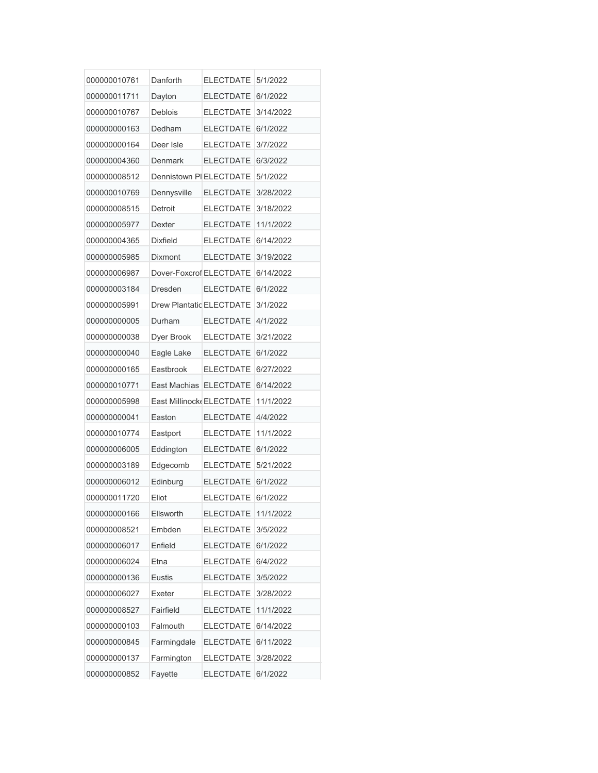| 000000010761 | Danforth                 | <b>ELECTDATE</b>    | 5/1/2022  |
|--------------|--------------------------|---------------------|-----------|
| 000000011711 | Dayton                   | <b>ELECTDATE</b>    | 6/1/2022  |
| 000000010767 | Deblois                  | <b>ELECTDATE</b>    | 3/14/2022 |
| 000000000163 | Dedham                   | <b>ELECTDATE</b>    | 6/1/2022  |
| 000000000164 | Deer Isle                | <b>ELECTDATE</b>    | 3/7/2022  |
| 000000004360 | Denmark                  | <b>ELECTDATE</b>    | 6/3/2022  |
| 000000008512 | Dennistown PI ELECTDATE  |                     | 5/1/2022  |
| 000000010769 | Dennysville              | <b>ELECTDATE</b>    | 3/28/2022 |
| 000000008515 | Detroit                  | <b>ELECTDATE</b>    | 3/18/2022 |
| 000000005977 | Dexter                   | <b>ELECTDATE</b>    | 11/1/2022 |
| 000000004365 | <b>Dixfield</b>          | <b>ELECTDATE</b>    | 6/14/2022 |
| 000000005985 | Dixmont                  | <b>ELECTDATE</b>    | 3/19/2022 |
| 000000006987 | Dover-Foxcrof ELECTDATE  |                     | 6/14/2022 |
| 000000003184 | Dresden                  | <b>ELECTDATE</b>    | 6/1/2022  |
| 000000005991 | Drew Plantatic ELECTDATE |                     | 3/1/2022  |
| 000000000005 | Durham                   | <b>ELECTDATE</b>    | 4/1/2022  |
| 000000000038 | Dyer Brook               | <b>ELECTDATE</b>    | 3/21/2022 |
| 000000000040 | Eagle Lake               | <b>ELECTDATE</b>    | 6/1/2022  |
| 000000000165 | Eastbrook                | <b>ELECTDATE</b>    | 6/27/2022 |
| 000000010771 | East Machias             | <b>ELECTDATE</b>    | 6/14/2022 |
| 000000005998 | East Millinock ELECTDATE |                     | 11/1/2022 |
| 000000000041 | Easton                   | <b>ELECTDATE</b>    | 4/4/2022  |
| 000000010774 | Eastport                 | <b>ELECTDATE</b>    | 11/1/2022 |
| 000000006005 | Eddington                | <b>ELECTDATE</b>    | 6/1/2022  |
| 000000003189 | Edgecomb                 | ELECTDATE 5/21/2022 |           |
| 000000006012 | Edinburg                 | <b>ELECTDATE</b>    | 6/1/2022  |
| 000000011720 | Eliot                    | <b>ELECTDATE</b>    | 6/1/2022  |
| 000000000166 | Ellsworth                | <b>ELECTDATE</b>    | 11/1/2022 |
| 000000008521 | Embden                   | <b>ELECTDATE</b>    | 3/5/2022  |
| 000000006017 | Enfield                  | <b>ELECTDATE</b>    | 6/1/2022  |
| 000000006024 | Etna                     | <b>ELECTDATE</b>    | 6/4/2022  |
| 000000000136 | <b>Eustis</b>            | <b>ELECTDATE</b>    | 3/5/2022  |
| 000000006027 | Exeter                   | <b>ELECTDATE</b>    | 3/28/2022 |
| 000000008527 | Fairfield                | <b>ELECTDATE</b>    | 11/1/2022 |
| 000000000103 | Falmouth                 | <b>ELECTDATE</b>    | 6/14/2022 |
| 000000000845 | Farmingdale              | <b>ELECTDATE</b>    | 6/11/2022 |
| 000000000137 | Farmington               | <b>ELECTDATE</b>    | 3/28/2022 |
| 000000000852 | Fayette                  | <b>ELECTDATE</b>    | 6/1/2022  |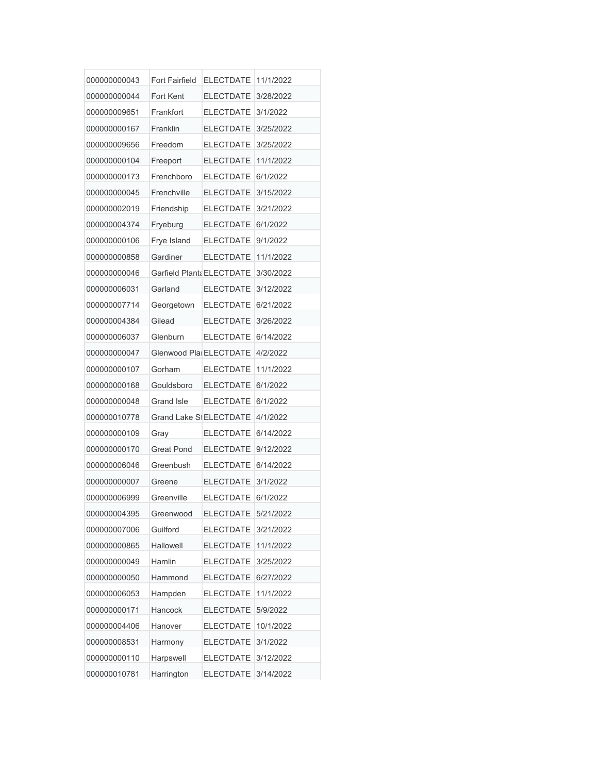| 000000000043 | <b>Fort Fairfield</b>          | <b>ELECTDATE</b>    | 11/1/2022 |
|--------------|--------------------------------|---------------------|-----------|
| 000000000044 | Fort Kent                      | <b>ELECTDATE</b>    | 3/28/2022 |
| 000000009651 | Frankfort                      | <b>ELECTDATE</b>    | 3/1/2022  |
| 000000000167 | Franklin                       | <b>ELECTDATE</b>    | 3/25/2022 |
| 000000009656 | Freedom                        | <b>ELECTDATE</b>    | 3/25/2022 |
| 000000000104 | Freeport                       | <b>ELECTDATE</b>    | 11/1/2022 |
| 000000000173 | Frenchboro                     | <b>ELECTDATE</b>    | 6/1/2022  |
| 00000000045  | Frenchville                    | <b>ELECTDATE</b>    | 3/15/2022 |
| 000000002019 | Friendship                     | <b>ELECTDATE</b>    | 3/21/2022 |
| 000000004374 | Fryeburg                       | <b>ELECTDATE</b>    | 6/1/2022  |
| 000000000106 | Frye Island                    | <b>ELECTDATE</b>    | 9/1/2022  |
| 000000000858 | Gardiner                       | <b>ELECTDATE</b>    | 11/1/2022 |
| 000000000046 | Garfield Plant: ELECTDATE      |                     | 3/30/2022 |
| 000000006031 | Garland                        | <b>ELECTDATE</b>    | 3/12/2022 |
| 000000007714 | Georgetown                     | <b>ELECTDATE</b>    | 6/21/2022 |
| 000000004384 | Gilead                         | <b>ELECTDATE</b>    | 3/26/2022 |
| 000000006037 | Glenburn                       | <b>ELECTDATE</b>    | 6/14/2022 |
| 000000000047 | Glenwood Pla ELECTDATE         |                     | 4/2/2022  |
| 000000000107 | Gorham                         | <b>ELECTDATE</b>    | 11/1/2022 |
| 000000000168 | Gouldsboro                     | <b>ELECTDATE</b>    | 6/1/2022  |
| 000000000048 | <b>Grand Isle</b>              | <b>ELECTDATE</b>    | 6/1/2022  |
| 000000010778 | <b>Grand Lake SI ELECTDATE</b> |                     | 4/1/2022  |
| 000000000109 | Gray                           | <b>ELECTDATE</b>    | 6/14/2022 |
| 000000000170 | <b>Great Pond</b>              | <b>ELECTDATE</b>    | 9/12/2022 |
| 000000006046 | Greenbush                      | ELECTDATE 6/14/2022 |           |
| 000000000007 | Greene                         | <b>ELECTDATE</b>    | 3/1/2022  |
| 000000006999 | Greenville                     | <b>ELECTDATE</b>    | 6/1/2022  |
| 000000004395 | Greenwood                      | <b>ELECTDATE</b>    | 5/21/2022 |
| 000000007006 | Guilford                       | <b>ELECTDATE</b>    | 3/21/2022 |
| 000000000865 | Hallowell                      | <b>ELECTDATE</b>    | 11/1/2022 |
| 000000000049 | Hamlin                         | <b>ELECTDATE</b>    | 3/25/2022 |
| 000000000050 | Hammond                        | <b>ELECTDATE</b>    | 6/27/2022 |
| 000000006053 | Hampden                        | <b>ELECTDATE</b>    | 11/1/2022 |
| 000000000171 | Hancock                        | <b>ELECTDATE</b>    | 5/9/2022  |
| 000000004406 | Hanover                        | <b>ELECTDATE</b>    | 10/1/2022 |
| 000000008531 | Harmony                        | <b>ELECTDATE</b>    | 3/1/2022  |
| 000000000110 | Harpswell                      | <b>ELECTDATE</b>    | 3/12/2022 |
| 000000010781 | Harrington                     | <b>ELECTDATE</b>    | 3/14/2022 |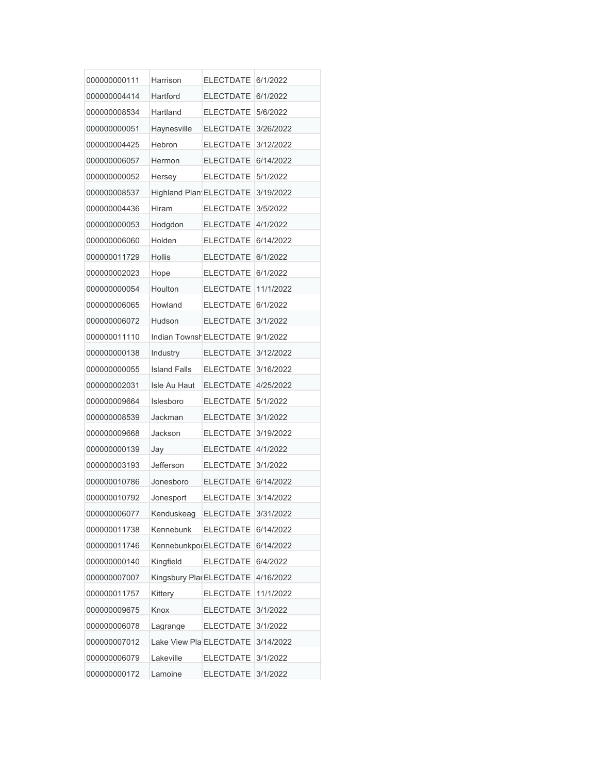| 000000000111 | Harrison                       | <b>ELECTDATE</b>   | 6/1/2022  |
|--------------|--------------------------------|--------------------|-----------|
| 000000004414 | Hartford                       | <b>ELECTDATE</b>   | 6/1/2022  |
| 000000008534 | Hartland                       | <b>ELECTDATE</b>   | 5/6/2022  |
| 000000000051 | Haynesville                    | <b>ELECTDATE</b>   | 3/26/2022 |
| 000000004425 | Hebron                         | <b>ELECTDATE</b>   | 3/12/2022 |
| 000000006057 | Hermon                         | <b>ELECTDATE</b>   | 6/14/2022 |
| 00000000052  | Hersey                         | <b>ELECTDATE</b>   | 5/1/2022  |
| 000000008537 | <b>Highland Plan ELECTDATE</b> |                    | 3/19/2022 |
| 000000004436 | Hiram                          | <b>ELECTDATE</b>   | 3/5/2022  |
| 000000000053 | Hodgdon                        | <b>ELECTDATE</b>   | 4/1/2022  |
| 000000006060 | Holden                         | <b>ELECTDATE</b>   | 6/14/2022 |
| 000000011729 | Hollis                         | <b>ELECTDATE</b>   | 6/1/2022  |
| 000000002023 | Hope                           | <b>ELECTDATE</b>   | 6/1/2022  |
| 000000000054 | Houlton                        | <b>ELECTDATE</b>   | 11/1/2022 |
| 000000006065 | Howland                        | <b>ELECTDATE</b>   | 6/1/2022  |
| 000000006072 | Hudson                         | <b>ELECTDATE</b>   | 3/1/2022  |
| 000000011110 | Indian Townsh ELECTDATE        |                    | 9/1/2022  |
| 000000000138 | Industry                       | <b>ELECTDATE</b>   | 3/12/2022 |
| 000000000055 | <b>Island Falls</b>            | <b>ELECTDATE</b>   | 3/16/2022 |
| 000000002031 | Isle Au Haut                   | <b>ELECTDATE</b>   | 4/25/2022 |
| 000000009664 | Islesboro                      | <b>ELECTDATE</b>   | 5/1/2022  |
| 000000008539 | Jackman                        | <b>ELECTDATE</b>   | 3/1/2022  |
| 000000009668 | Jackson                        | <b>ELECTDATE</b>   | 3/19/2022 |
| 000000000139 | Jay                            | <b>ELECTDATE</b>   | 4/1/2022  |
| 000000003193 | Jefferson                      | ELECTDATE 3/1/2022 |           |
| 000000010786 | Jonesboro                      | <b>ELECTDATE</b>   | 6/14/2022 |
| 000000010792 | Jonesport                      | <b>ELECTDATE</b>   | 3/14/2022 |
| 000000006077 | Kenduskeag                     | <b>ELECTDATE</b>   | 3/31/2022 |
| 000000011738 | Kennebunk                      | <b>ELECTDATE</b>   | 6/14/2022 |
| 000000011746 | Kennebunkpol ELECTDATE         |                    | 6/14/2022 |
| 000000000140 | Kingfield                      | <b>ELECTDATE</b>   | 6/4/2022  |
| 000000007007 | Kingsbury Plai ELECTDATE       |                    | 4/16/2022 |
| 000000011757 | Kittery                        | <b>ELECTDATE</b>   | 11/1/2022 |
| 000000009675 | Knox                           | <b>ELECTDATE</b>   | 3/1/2022  |
| 000000006078 | Lagrange                       | <b>ELECTDATE</b>   | 3/1/2022  |
| 000000007012 | Lake View Pla ELECTDATE        |                    | 3/14/2022 |
| 000000006079 | Lakeville                      | <b>ELECTDATE</b>   | 3/1/2022  |
| 000000000172 | Lamoine                        | <b>ELECTDATE</b>   | 3/1/2022  |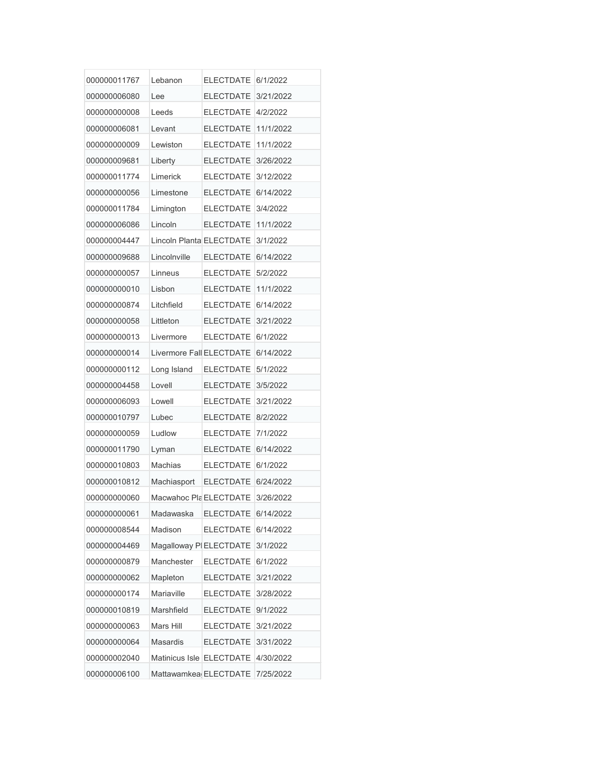| 000000011767 | Lebanon                  | <b>ELECTDATE</b>   | 6/1/2022  |
|--------------|--------------------------|--------------------|-----------|
| 000000006080 | Lee                      | <b>ELECTDATE</b>   | 3/21/2022 |
| 00000000008  | Leeds                    | <b>ELECTDATE</b>   | 4/2/2022  |
| 000000006081 | Levant                   | <b>ELECTDATE</b>   | 11/1/2022 |
| 00000000009  | Lewiston                 | <b>ELECTDATE</b>   | 11/1/2022 |
| 000000009681 | Liberty                  | <b>ELECTDATE</b>   | 3/26/2022 |
| 000000011774 | Limerick                 | <b>ELECTDATE</b>   | 3/12/2022 |
| 000000000056 | Limestone                | <b>ELECTDATE</b>   | 6/14/2022 |
| 000000011784 | Limington                | <b>ELECTDATE</b>   | 3/4/2022  |
| 000000006086 | Lincoln                  | <b>ELECTDATE</b>   | 11/1/2022 |
| 000000004447 | Lincoln Planta ELECTDATE |                    | 3/1/2022  |
| 000000009688 | Lincolnville             | <b>ELECTDATE</b>   | 6/14/2022 |
| 000000000057 | Linneus                  | <b>ELECTDATE</b>   | 5/2/2022  |
| 000000000010 | Lisbon                   | <b>ELECTDATE</b>   | 11/1/2022 |
| 000000000874 | Litchfield               | <b>ELECTDATE</b>   | 6/14/2022 |
| 000000000058 | Littleton                | <b>ELECTDATE</b>   | 3/21/2022 |
| 000000000013 | Livermore                | <b>ELECTDATE</b>   | 6/1/2022  |
| 000000000014 | Livermore Fall ELECTDATE |                    | 6/14/2022 |
| 000000000112 | Long Island              | <b>ELECTDATE</b>   | 5/1/2022  |
| 000000004458 | Lovell                   | <b>ELECTDATE</b>   | 3/5/2022  |
| 000000006093 | Lowell                   | <b>ELECTDATE</b>   | 3/21/2022 |
| 000000010797 | Lubec                    | <b>ELECTDATE</b>   | 8/2/2022  |
| 000000000059 | Ludlow                   | <b>ELECTDATE</b>   | 7/1/2022  |
| 000000011790 | Lyman                    | <b>ELECTDATE</b>   | 6/14/2022 |
| 000000010803 | Machias                  | ELECTDATE 6/1/2022 |           |
| 000000010812 | Machiasport              | <b>ELECTDATE</b>   | 6/24/2022 |
| 000000000060 | Macwahoc Pla ELECTDATE   |                    | 3/26/2022 |
| 000000000061 | Madawaska                | <b>ELECTDATE</b>   | 6/14/2022 |
| 000000008544 | Madison                  | <b>ELECTDATE</b>   | 6/14/2022 |
| 000000004469 | Magalloway PIELECTDATE   |                    | 3/1/2022  |
| 000000000879 | Manchester               | <b>ELECTDATE</b>   | 6/1/2022  |
| 00000000062  | Mapleton                 | <b>ELECTDATE</b>   | 3/21/2022 |
| 000000000174 | Mariaville               | <b>ELECTDATE</b>   | 3/28/2022 |
| 000000010819 | Marshfield               | <b>ELECTDATE</b>   | 9/1/2022  |
| 000000000063 | Mars Hill                | <b>ELECTDATE</b>   | 3/21/2022 |
| 000000000064 | Masardis                 | <b>ELECTDATE</b>   | 3/31/2022 |
| 000000002040 | Matinicus Isle ELECTDATE |                    | 4/30/2022 |
| 000000006100 | Mattawamkea ELECTDATE    |                    | 7/25/2022 |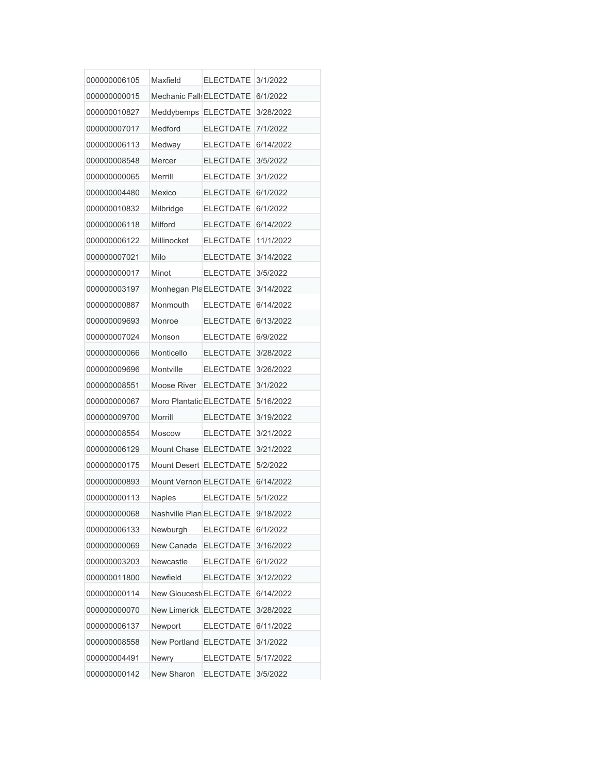| 000000006105 | Maxfield                 | <b>ELECTDATE</b>       | 3/1/2022  |
|--------------|--------------------------|------------------------|-----------|
| 000000000015 | Mechanic Fall: ELECTDATE |                        | 6/1/2022  |
| 000000010827 | Meddybemps ELECTDATE     |                        | 3/28/2022 |
| 000000007017 | Medford                  | <b>ELECTDATE</b>       | 7/1/2022  |
| 000000006113 | Medway                   | <b>ELECTDATE</b>       | 6/14/2022 |
| 000000008548 | Mercer                   | <b>ELECTDATE</b>       | 3/5/2022  |
| 00000000065  | Merrill                  | <b>ELECTDATE</b>       | 3/1/2022  |
| 000000004480 | Mexico                   | <b>ELECTDATE</b>       | 6/1/2022  |
| 000000010832 | Milbridge                | <b>ELECTDATE</b>       | 6/1/2022  |
| 000000006118 | <b>Milford</b>           | <b>ELECTDATE</b>       | 6/14/2022 |
| 000000006122 | Millinocket              | <b>ELECTDATE</b>       | 11/1/2022 |
| 000000007021 | Milo                     | <b>ELECTDATE</b>       | 3/14/2022 |
| 000000000017 | Minot                    | <b>ELECTDATE</b>       | 3/5/2022  |
| 000000003197 | Monhegan Pla ELECTDATE   |                        | 3/14/2022 |
| 000000000887 | Monmouth                 | <b>ELECTDATE</b>       | 6/14/2022 |
| 000000009693 | Monroe                   | <b>ELECTDATE</b>       | 6/13/2022 |
| 000000007024 | Monson                   | <b>ELECTDATE</b>       | 6/9/2022  |
| 000000000066 | Monticello               | <b>ELECTDATE</b>       | 3/28/2022 |
| 000000009696 | Montville                | <b>ELECTDATE</b>       | 3/26/2022 |
| 000000008551 | Moose River              | <b>ELECTDATE</b>       | 3/1/2022  |
| 000000000067 | Moro Plantatic ELECTDATE |                        | 5/16/2022 |
| 000000009700 | <b>Morrill</b>           | <b>ELECTDATE</b>       | 3/19/2022 |
| 000000008554 | <b>Moscow</b>            | <b>ELECTDATE</b>       | 3/21/2022 |
| 000000006129 | Mount Chase              | <b>ELECTDATE</b>       | 3/21/2022 |
| 000000000175 |                          | Mount Desert ELECTDATE | 5/2/2022  |
| 000000000893 | Mount Vernon ELECTDATE   |                        | 6/14/2022 |
| 000000000113 | <b>Naples</b>            | <b>ELECTDATE</b>       | 5/1/2022  |
| 000000000068 | Nashville Plan ELECTDATE |                        | 9/18/2022 |
| 000000006133 | Newburgh                 | <b>ELECTDATE</b>       | 6/1/2022  |
| 000000000069 | New Canada               | <b>ELECTDATE</b>       | 3/16/2022 |
| 000000003203 | Newcastle                | <b>ELECTDATE</b>       | 6/1/2022  |
| 000000011800 | Newfield                 | <b>ELECTDATE</b>       | 3/12/2022 |
| 000000000114 | New Gloucest ELECTDATE   |                        | 6/14/2022 |
| 000000000070 | New Limerick ELECTDATE   |                        | 3/28/2022 |
| 000000006137 | Newport                  | <b>ELECTDATE</b>       | 6/11/2022 |
| 000000008558 | New Portland             | <b>ELECTDATE</b>       | 3/1/2022  |
| 000000004491 | Newry                    | <b>ELECTDATE</b>       | 5/17/2022 |
| 000000000142 | New Sharon               | <b>ELECTDATE</b>       | 3/5/2022  |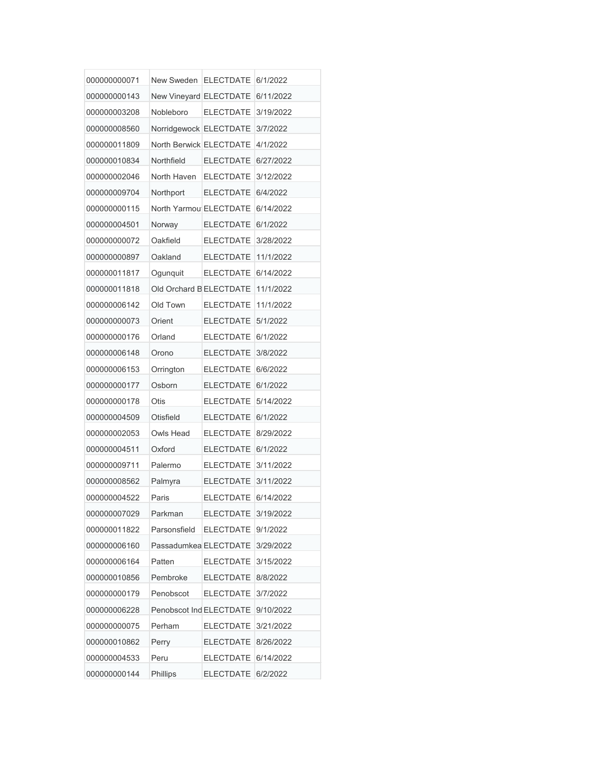| 000000000071 | New Sweden ELECTDATE 6/1/2022 |                  |           |
|--------------|-------------------------------|------------------|-----------|
| 000000000143 | New Vineyard ELECTDATE        |                  | 6/11/2022 |
| 000000003208 | Nobleboro                     | <b>ELECTDATE</b> | 3/19/2022 |
| 000000008560 | Norridgewock ELECTDATE        |                  | 3/7/2022  |
| 000000011809 | North Berwick ELECTDATE       |                  | 4/1/2022  |
| 000000010834 | Northfield                    | <b>ELECTDATE</b> | 6/27/2022 |
| 000000002046 | North Haven                   | <b>ELECTDATE</b> | 3/12/2022 |
| 000000009704 | Northport                     | <b>ELECTDATE</b> | 6/4/2022  |
| 000000000115 | North Yarmou ELECTDATE        |                  | 6/14/2022 |
| 000000004501 | Norway                        | <b>ELECTDATE</b> | 6/1/2022  |
| 00000000072  | Oakfield                      | <b>ELECTDATE</b> | 3/28/2022 |
| 000000000897 | Oakland                       | <b>ELECTDATE</b> | 11/1/2022 |
| 000000011817 | Ogunquit                      | <b>ELECTDATE</b> | 6/14/2022 |
| 000000011818 | Old Orchard B ELECTDATE       |                  | 11/1/2022 |
| 000000006142 | Old Town                      | <b>ELECTDATE</b> | 11/1/2022 |
| 000000000073 | Orient                        | <b>ELECTDATE</b> | 5/1/2022  |
| 000000000176 | Orland                        | <b>ELECTDATE</b> | 6/1/2022  |
| 000000006148 | Orono                         | <b>ELECTDATE</b> | 3/8/2022  |
| 000000006153 | Orrington                     | <b>ELECTDATE</b> | 6/6/2022  |
| 000000000177 | Osborn                        | <b>ELECTDATE</b> | 6/1/2022  |
| 000000000178 | Otis                          | <b>ELECTDATE</b> | 5/14/2022 |
| 000000004509 | Otisfield                     | <b>ELECTDATE</b> | 6/1/2022  |
| 000000002053 | Owls Head                     | <b>ELECTDATE</b> | 8/29/2022 |
| 000000004511 | Oxford                        | <b>ELECTDATE</b> | 6/1/2022  |
| 000000009711 | Palermo                       | <b>ELECTDATE</b> | 3/11/2022 |
| 000000008562 | Palmyra                       | <b>ELECTDATE</b> | 3/11/2022 |
| 000000004522 | Paris                         | <b>ELECTDATE</b> | 6/14/2022 |
| 000000007029 | Parkman                       | <b>ELECTDATE</b> | 3/19/2022 |
| 000000011822 | Parsonsfield                  | <b>ELECTDATE</b> | 9/1/2022  |
| 000000006160 | Passadumkea ELECTDATE         |                  | 3/29/2022 |
| 000000006164 | Patten                        | <b>ELECTDATE</b> | 3/15/2022 |
| 000000010856 | Pembroke                      | <b>ELECTDATE</b> | 8/8/2022  |
| 000000000179 | Penobscot                     | <b>ELECTDATE</b> | 3/7/2022  |
| 000000006228 | Penobscot Ind ELECTDATE       |                  | 9/10/2022 |
| 000000000075 | Perham                        | <b>ELECTDATE</b> | 3/21/2022 |
| 000000010862 | Perry                         | <b>ELECTDATE</b> | 8/26/2022 |
| 000000004533 | Peru                          | <b>ELECTDATE</b> | 6/14/2022 |
| 000000000144 | Phillips                      | <b>ELECTDATE</b> | 6/2/2022  |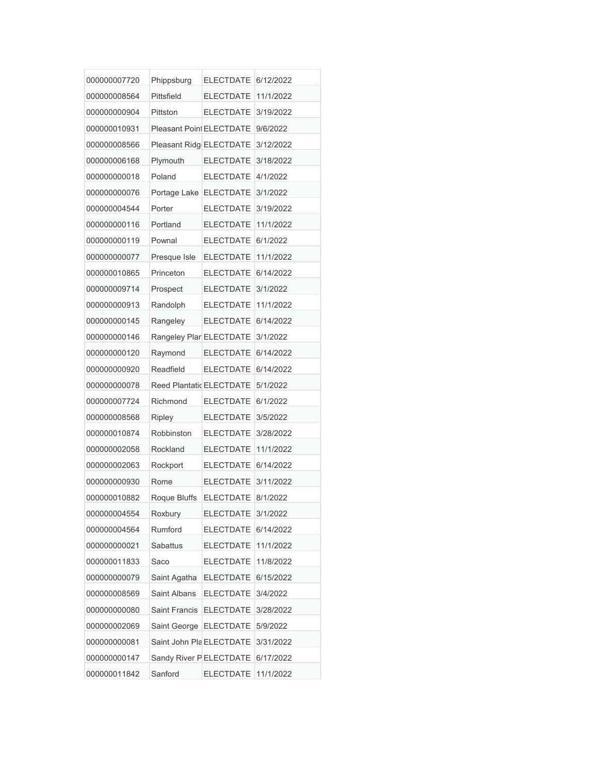| 000000007720 | Phippsburg               | <b>ELECTDATE</b> | 6/12/2022 |
|--------------|--------------------------|------------------|-----------|
| 000000008564 | Pittsfield               | <b>ELECTDATE</b> | 11/1/2022 |
| 000000000904 | Pittston                 | <b>ELECTDATE</b> | 3/19/2022 |
| 000000010931 | Pleasant Point ELECTDATE |                  | 9/6/2022  |
| 000000008566 | Pleasant Ridg ELECTDATE  |                  | 3/12/2022 |
| 000000006168 | Plymouth                 | <b>ELECTDATE</b> | 3/18/2022 |
| 000000000018 | Poland                   | <b>ELECTDATE</b> | 4/1/2022  |
| 000000000076 | Portage Lake             | <b>ELECTDATE</b> | 3/1/2022  |
| 000000004544 | Porter                   | <b>ELECTDATE</b> | 3/19/2022 |
| 000000000116 | Portland                 | <b>ELECTDATE</b> | 11/1/2022 |
| 000000000119 | Pownal                   | <b>ELECTDATE</b> | 6/1/2022  |
| 000000000077 | Presque Isle             | <b>ELECTDATE</b> | 11/1/2022 |
| 000000010865 | Princeton                | <b>ELECTDATE</b> | 6/14/2022 |
| 000000009714 | Prospect                 | <b>ELECTDATE</b> | 3/1/2022  |
| 000000000913 | Randolph                 | <b>ELECTDATE</b> | 11/1/2022 |
| 000000000145 | Rangeley                 | <b>ELECTDATE</b> | 6/14/2022 |
| 000000000146 | Rangeley Plar ELECTDATE  |                  | 3/1/2022  |
| 000000000120 | Raymond                  | <b>ELECTDATE</b> | 6/14/2022 |
| 000000000920 | Readfield                | <b>ELECTDATE</b> | 6/14/2022 |
| 000000000078 | Reed Plantatic ELECTDATE |                  | 5/1/2022  |
| 000000007724 | Richmond                 | <b>ELECTDATE</b> | 6/1/2022  |
| 000000008568 | Ripley                   | <b>ELECTDATE</b> | 3/5/2022  |
| 000000010874 | Robbinston               | <b>ELECTDATE</b> | 3/28/2022 |
| 000000002058 | Rockland                 | <b>ELECTDATE</b> | 11/1/2022 |
| 000000002063 | Rockport                 | <b>ELECTDATE</b> | 6/14/2022 |
| 000000000930 | Rome                     | <b>ELECTDATE</b> | 3/11/2022 |
| 000000010882 | Roque Bluffs             | <b>ELECTDATE</b> | 8/1/2022  |
| 000000004554 | Roxbury                  | <b>ELECTDATE</b> | 3/1/2022  |
| 000000004564 | Rumford                  | <b>ELECTDATE</b> | 6/14/2022 |
| 000000000021 | Sabattus                 | <b>ELECTDATE</b> | 11/1/2022 |
| 000000011833 | Saco                     | <b>ELECTDATE</b> | 11/8/2022 |
| 000000000079 | Saint Agatha             | <b>ELECTDATE</b> | 6/15/2022 |
| 000000008569 | Saint Albans             | <b>ELECTDATE</b> | 3/4/2022  |
| 000000000080 | Saint Francis            | <b>ELECTDATE</b> | 3/28/2022 |
| 000000002069 | Saint George             | <b>ELECTDATE</b> | 5/9/2022  |
| 000000000081 | Saint John Pla ELECTDATE |                  | 3/31/2022 |
| 000000000147 | Sandy River PELECTDATE   |                  | 6/17/2022 |
| 000000011842 | Sanford                  | <b>ELECTDATE</b> | 11/1/2022 |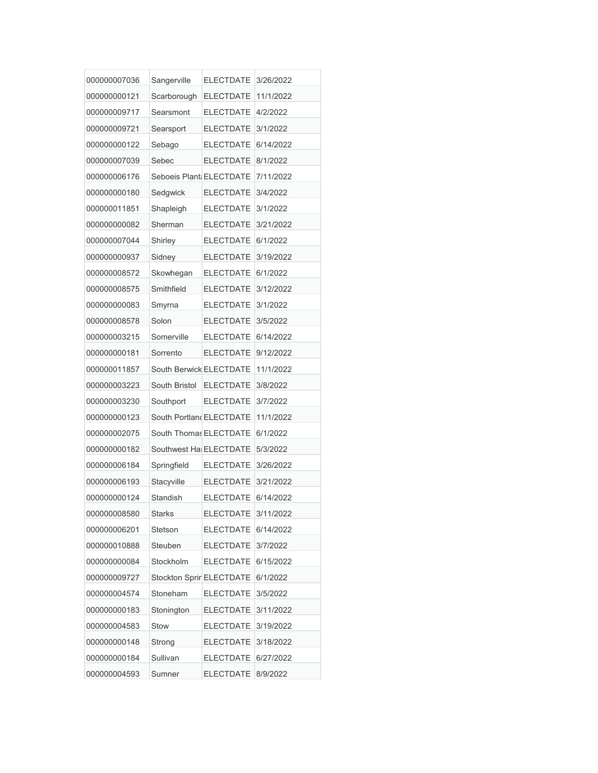| 000000007036 | Sangerville              | <b>ELECTDATE</b> | 3/26/2022 |
|--------------|--------------------------|------------------|-----------|
| 000000000121 | Scarborough              | <b>ELECTDATE</b> | 11/1/2022 |
| 000000009717 | Searsmont                | <b>ELECTDATE</b> | 4/2/2022  |
| 000000009721 | Searsport                | <b>ELECTDATE</b> | 3/1/2022  |
| 000000000122 | Sebago                   | <b>ELECTDATE</b> | 6/14/2022 |
| 000000007039 | Sebec                    | <b>ELECTDATE</b> | 8/1/2022  |
| 000000006176 | Seboeis Plant ELECTDATE  |                  | 7/11/2022 |
| 000000000180 | Sedgwick                 | <b>ELECTDATE</b> | 3/4/2022  |
| 000000011851 | Shapleigh                | <b>ELECTDATE</b> | 3/1/2022  |
| 000000000082 | Sherman                  | <b>ELECTDATE</b> | 3/21/2022 |
| 000000007044 | Shirley                  | <b>ELECTDATE</b> | 6/1/2022  |
| 000000000937 | Sidney                   | <b>ELECTDATE</b> | 3/19/2022 |
| 000000008572 | Skowhegan                | <b>ELECTDATE</b> | 6/1/2022  |
| 000000008575 | Smithfield               | <b>ELECTDATE</b> | 3/12/2022 |
| 000000000083 | Smyrna                   | <b>ELECTDATE</b> | 3/1/2022  |
| 000000008578 | Solon                    | <b>ELECTDATE</b> | 3/5/2022  |
| 000000003215 | Somerville               | <b>ELECTDATE</b> | 6/14/2022 |
| 000000000181 | Sorrento                 | <b>ELECTDATE</b> | 9/12/2022 |
| 000000011857 | South Berwick ELECTDATE  |                  | 11/1/2022 |
| 000000003223 | South Bristol            | <b>ELECTDATE</b> | 3/8/2022  |
| 000000003230 | Southport                | <b>ELECTDATE</b> | 3/7/2022  |
| 000000000123 | South Portland ELECTDATE |                  | 11/1/2022 |
| 000000002075 | South Thomas ELECTDATE   |                  | 6/1/2022  |
| 000000000182 | Southwest Hal ELECTDATE  |                  | 5/3/2022  |
| 000000006184 | Springfield              | <b>ELECTDATE</b> | 3/26/2022 |
| 000000006193 | Stacyville               | <b>ELECTDATE</b> | 3/21/2022 |
| 000000000124 | Standish                 | <b>ELECTDATE</b> | 6/14/2022 |
| 000000008580 | <b>Starks</b>            | <b>ELECTDATE</b> | 3/11/2022 |
| 000000006201 | Stetson                  | <b>ELECTDATE</b> | 6/14/2022 |
| 000000010888 | Steuben                  | <b>ELECTDATE</b> | 3/7/2022  |
| 000000000084 | Stockholm                | <b>ELECTDATE</b> | 6/15/2022 |
| 000000009727 | Stockton Sprir ELECTDATE |                  | 6/1/2022  |
| 000000004574 | Stoneham                 | <b>ELECTDATE</b> | 3/5/2022  |
| 000000000183 | Stonington               | <b>ELECTDATE</b> | 3/11/2022 |
| 000000004583 | Stow                     | <b>ELECTDATE</b> | 3/19/2022 |
| 000000000148 | Strong                   | <b>ELECTDATE</b> | 3/18/2022 |
| 000000000184 | Sullivan                 | <b>ELECTDATE</b> | 6/27/2022 |
| 000000004593 | Sumner                   | <b>ELECTDATE</b> | 8/9/2022  |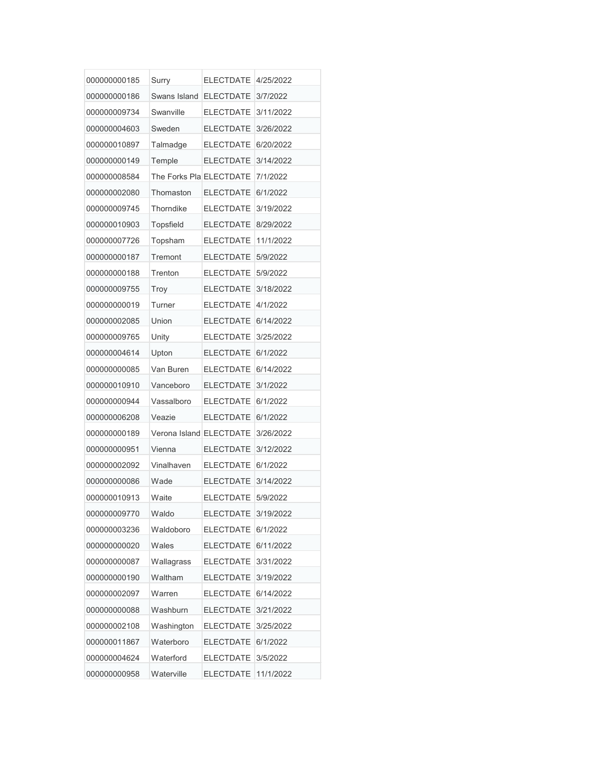| 000000000185 | Surry                   | <b>ELECTDATE</b>   | 4/25/2022 |
|--------------|-------------------------|--------------------|-----------|
| 000000000186 | Swans Island            | <b>ELECTDATE</b>   | 3/7/2022  |
| 000000009734 | Swanville               | <b>ELECTDATE</b>   | 3/11/2022 |
| 000000004603 | Sweden                  | <b>ELECTDATE</b>   | 3/26/2022 |
| 000000010897 | Talmadge                | <b>ELECTDATE</b>   | 6/20/2022 |
| 000000000149 | Temple                  | <b>ELECTDATE</b>   | 3/14/2022 |
| 000000008584 | The Forks Pla ELECTDATE |                    | 7/1/2022  |
| 000000002080 | Thomaston               | <b>ELECTDATE</b>   | 6/1/2022  |
| 000000009745 | Thorndike               | <b>ELECTDATE</b>   | 3/19/2022 |
| 000000010903 | <b>Topsfield</b>        | <b>ELECTDATE</b>   | 8/29/2022 |
| 000000007726 | Topsham                 | <b>ELECTDATE</b>   | 11/1/2022 |
| 000000000187 | Tremont                 | <b>ELECTDATE</b>   | 5/9/2022  |
| 000000000188 | Trenton                 | <b>ELECTDATE</b>   | 5/9/2022  |
| 000000009755 | Troy                    | <b>ELECTDATE</b>   | 3/18/2022 |
| 000000000019 | Turner                  | <b>ELECTDATE</b>   | 4/1/2022  |
| 000000002085 | Union                   | <b>ELECTDATE</b>   | 6/14/2022 |
| 000000009765 | Unity                   | <b>ELECTDATE</b>   | 3/25/2022 |
| 000000004614 | Upton                   | <b>ELECTDATE</b>   | 6/1/2022  |
| 000000000085 | Van Buren               | <b>ELECTDATE</b>   | 6/14/2022 |
| 000000010910 | Vanceboro               | <b>ELECTDATE</b>   | 3/1/2022  |
| 000000000944 | Vassalboro              | <b>ELECTDATE</b>   | 6/1/2022  |
| 000000006208 | Veazie                  | <b>ELECTDATE</b>   | 6/1/2022  |
| 000000000189 | Verona Island ELECTDATE |                    | 3/26/2022 |
| 000000000951 | Vienna                  | <b>ELECTDATE</b>   | 3/12/2022 |
| 000000002092 | Vinalhaven              | ELECTDATE 6/1/2022 |           |
| 000000000086 | Wade                    | <b>ELECTDATE</b>   | 3/14/2022 |
| 000000010913 | Waite                   | <b>ELECTDATE</b>   | 5/9/2022  |
| 000000009770 | Waldo                   | <b>ELECTDATE</b>   | 3/19/2022 |
| 000000003236 | Waldoboro               | <b>ELECTDATE</b>   | 6/1/2022  |
| 000000000020 | Wales                   | <b>ELECTDATE</b>   | 6/11/2022 |
| 000000000087 | Wallagrass              | <b>ELECTDATE</b>   | 3/31/2022 |
| 000000000190 | Waltham                 | <b>ELECTDATE</b>   | 3/19/2022 |
| 000000002097 | Warren                  | <b>ELECTDATE</b>   | 6/14/2022 |
| 000000000088 | Washburn                | <b>ELECTDATE</b>   | 3/21/2022 |
| 000000002108 | Washington              | <b>ELECTDATE</b>   | 3/25/2022 |
| 000000011867 | Waterboro               | <b>ELECTDATE</b>   | 6/1/2022  |
| 000000004624 | Waterford               | <b>ELECTDATE</b>   | 3/5/2022  |
| 000000000958 | Waterville              | <b>ELECTDATE</b>   | 11/1/2022 |